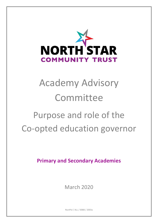

# Academy Advisory Committee

## Purpose and role of the Co-opted education governor

**Primary and Secondary Academies**

March 2020

NsctPol / ALL / 0088 / 2003a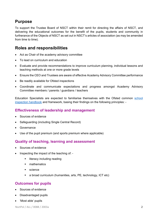## **Purpose**

To support the Trustee Board of NSCT within their remit for directing the affairs of NSCT, and delivering the educational outcomes for the benefit of the pupils, students and community in furtherance of the Objects of NSCT as set out in NSCT's articles of association (as may be amended from time to time).

## **Roles and responsibilities**

- Act as Chair of the academy advisory committee
- To lead on curriculum and education
- Evaluate and provide recommendations to improve curriculum planning, individual lessons and teaching methods at one or more grade levels
- Ensure the CEO and Trustees are aware of effective Academy Advisory Committee performance
- Be readily available for Ofsted inspections
- Coordinate and communicate expectations and progress amongst Academy Advisory Committee members / parents / guardians / teachers

Education Specialists are expected to familiarise themselves with the Ofsted common [school](https://www.gov.uk/government/publications/school-inspection-handbook-from-september-2015)  [inspection handbook](https://www.gov.uk/government/publications/school-inspection-handbook-from-september-2015) and framework, basing their findings on the following principles: -

#### **Effectiveness of leadership and management**

- Sources of evidence
- Safeguarding (including Single Central Record)
- Governance
- Use of the pupil premium (and sports premium where applicable)

#### **Quality of teaching, learning and assessment**

- Sources of evidence
- Inspecting the impact of the teaching of:
	- literacy including reading
	- **nathematics**
	- science
	- a broad curriculum (humanities, arts, PE, technology, ICT etc)

#### **Outcomes for pupils**

- Sources of evidence
- Disadvantaged pupils
- 'Most able' pupils

NsctPol / ALL / 0088 / 2003a 2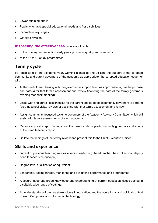- Lower-attaining pupils
- Pupils who have special educational needs and / or disabilities
- Incomplete key stages
- Off-site provision

#### **Inspecting the effectiveness** (where applicable)

- of the nursery and reception early years provision: quality and standards
- of the 16 to 19 study programmes

## **Termly cycle**

For each term of the academic year, working alongside and utilising the support of the co-opted community and parent governors of the academy as appropriate, the co-opted education governor will: -

- At the start of term, liaising with the governance support team as appropriate, agree the purpose and date(s) for that term's assessment and review (including the date of the termly governors evening feedback meeting)
- Liaise with and agree / assign tasks for the parent and co-opted community governors to perform (be that school visits, reviews or assisting with that terms assessment and review)
- Assign community focussed tasks to governors of the Academy Advisory Committee, which will assist with termly assessments of each academy
- Receive any visit / report findings from the parent and co-opted community governors and a copy of the head teacher's report
- Collate the findings of the termly review and present this to the Chief Executive Officer

### **Skills and experience**

- current or previous teaching role as a senior leader (e.g. head teacher, head of school, deputy head teacher, vice principal)
- Degree level qualification or equivalent.
- Leadership, setting targets, monitoring and evaluating performance and programmes
- A secure, deep and broad knowledge and understanding of current education issues gained in a suitably wide range of settings.
- An understanding of the key stakeholders in education, and the operational and political context of each Computers and information technology.

.